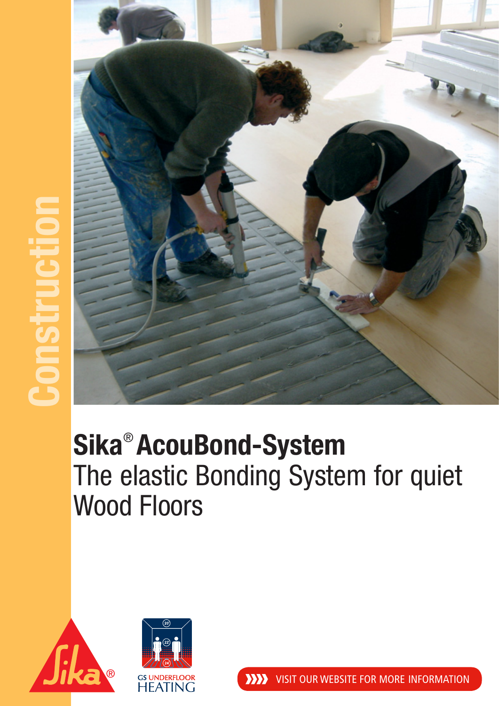

## **Sika**® **AcouBond-System** The elastic Bonding System for quiet Wood Floors



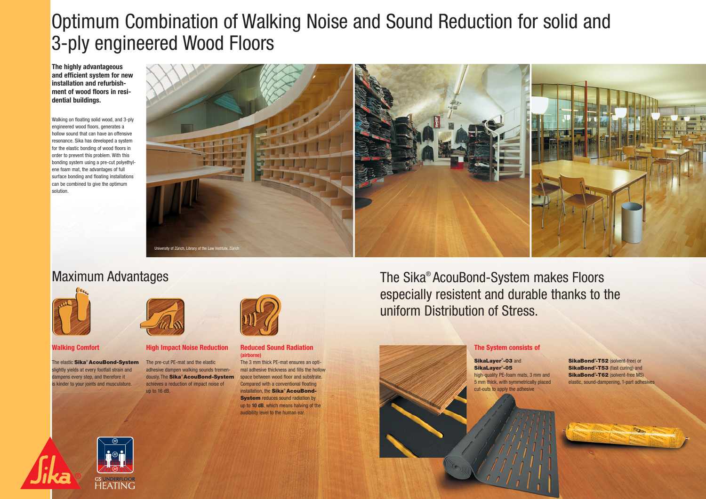## Optimum Combination of Walking Noise and Sound Reduction for solid and 3-ply engineered Wood Floors

**The highly advantageous and efficient system for new installation and refurbishment of wood floors in residential buildings.**

Walking on floating solid wood, and 3-ply engineered wood floors, generates a hollow sound that can have an offensive resonance. Sika has developed a system for the elastic bonding of wood floors in order to prevent this problem. With this bonding system using a pre-cut polyethylene foam mat, the advantages of full surface bonding and floating installations can be combined to give the optimum solution.



### Maximum Advantages



**Walking Comfort**

The elastic Sika<sup>®</sup> AcouBond-System slightly yields at every footfall strain and dampens every step, and therefore it is kinder to your joints and musculature.

**HEATING** 



**High Impact Noise Reduction**

The pre-cut PE-mat and the elastic adhesive dampen walking sounds tremendously. The **Sika<sup>®</sup> AcouBond-System** space between wood floor and substrate. achieves a reduction of impact noise of up to 16 dB.



#### **Reduced Sound Radiation (airborne)**

The 3 mm thick PE-mat ensures an optimal adhesive thickness and fills the hollow Compared with a conventional floating installation, the Sika® AcouBond-**System** reduces sound radiation by up to **10 dB**, which means halving of the audibility level to the human ear.

The Sika® AcouBond-System makes Floors especially resistent and durable thanks to the uniform Distribution of Stress.

#### **The System consists of**

SikaLayer®-03 and SikaLayer® -05 high-quality PE-foam mats, 3 mm and 5 mm thick, with symmetrically placed cut-outs to apply the adhesive

SikaBond<sup>®</sup>-T52 (solvent-free) or SikaBond<sup>®</sup>-T53 (fast curing) and **SikaBond<sup>®</sup>-T62** (solvent-free MS) elastic, sound-dampening, 1-part adhesives